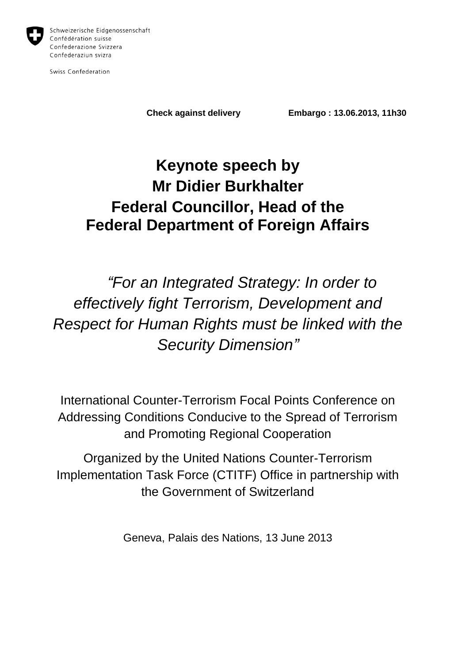

Schweizerische Eidgenossenschaft Confédération suisse Confederazione Svizzera Confederaziun svizra

Swiss Confederation

**Check against delivery Embargo : 13.06.2013, 11h30**

# **Keynote speech by Mr Didier Burkhalter Federal Councillor, Head of the Federal Department of Foreign Affairs**

*"For an Integrated Strategy: In order to effectively fight Terrorism, Development and Respect for Human Rights must be linked with the Security Dimension"*

International Counter-Terrorism Focal Points Conference on Addressing Conditions Conducive to the Spread of Terrorism and Promoting Regional Cooperation

Organized by the United Nations Counter-Terrorism Implementation Task Force (CTITF) Office in partnership with the Government of Switzerland

Geneva, Palais des Nations, 13 June 2013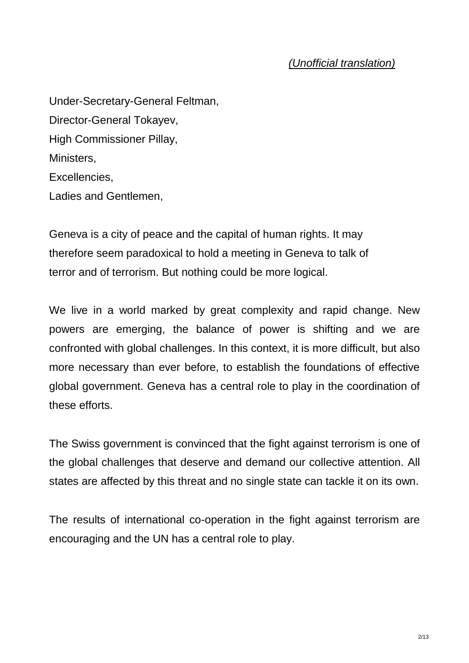#### *(Unofficial translation)*

Under-Secretary-General Feltman, Director-General Tokayev, High Commissioner Pillay, Ministers, Excellencies, Ladies and Gentlemen,

Geneva is a city of peace and the capital of human rights. It may therefore seem paradoxical to hold a meeting in Geneva to talk of terror and of terrorism. But nothing could be more logical.

We live in a world marked by great complexity and rapid change. New powers are emerging, the balance of power is shifting and we are confronted with global challenges. In this context, it is more difficult, but also more necessary than ever before, to establish the foundations of effective global government. Geneva has a central role to play in the coordination of these efforts.

The Swiss government is convinced that the fight against terrorism is one of the global challenges that deserve and demand our collective attention. All states are affected by this threat and no single state can tackle it on its own.

The results of international co-operation in the fight against terrorism are encouraging and the UN has a central role to play.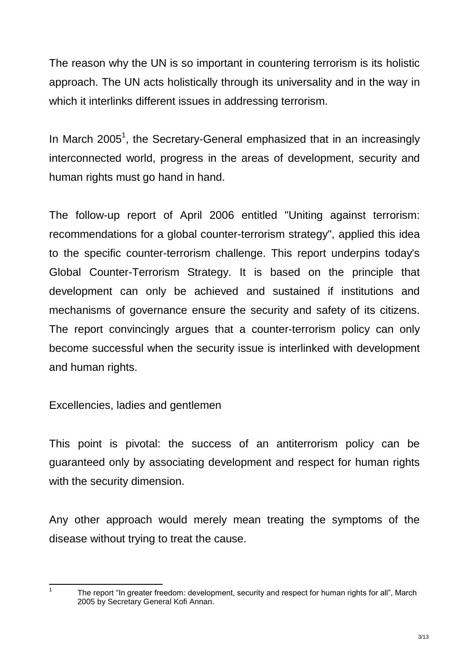The reason why the UN is so important in countering terrorism is its holistic approach. The UN acts holistically through its universality and in the way in which it interlinks different issues in addressing terrorism.

In March 2005<sup>1</sup>, the Secretary-General emphasized that in an increasingly interconnected world, progress in the areas of development, security and human rights must go hand in hand.

The follow-up report of April 2006 entitled "Uniting against terrorism: recommendations for a global counter-terrorism strategy", applied this idea to the specific counter-terrorism challenge. This report underpins today's Global Counter-Terrorism Strategy. It is based on the principle that development can only be achieved and sustained if institutions and mechanisms of governance ensure the security and safety of its citizens. The report convincingly argues that a counter-terrorism policy can only become successful when the security issue is interlinked with development and human rights.

Excellencies, ladies and gentlemen

This point is pivotal: the success of an antiterrorism policy can be guaranteed only by associating development and respect for human rights with the security dimension.

Any other approach would merely mean treating the symptoms of the disease without trying to treat the cause.

 $\frac{1}{1}$ 

The report "In greater freedom: development, security and respect for human rights for all", March 2005 by Secretary General Kofi Annan.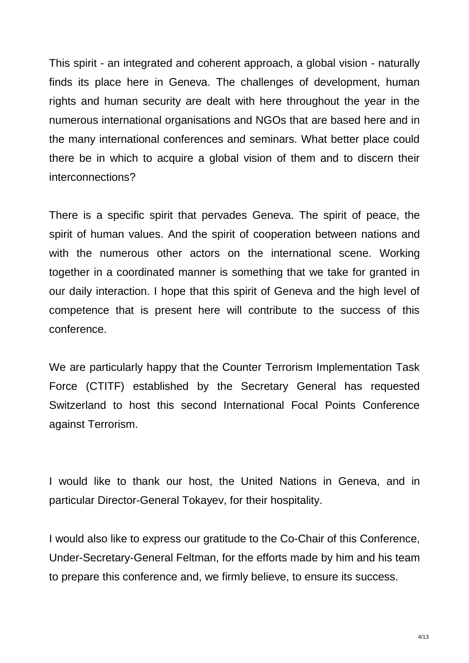This spirit - an integrated and coherent approach, a global vision - naturally finds its place here in Geneva. The challenges of development, human rights and human security are dealt with here throughout the year in the numerous international organisations and NGOs that are based here and in the many international conferences and seminars. What better place could there be in which to acquire a global vision of them and to discern their interconnections?

There is a specific spirit that pervades Geneva. The spirit of peace, the spirit of human values. And the spirit of cooperation between nations and with the numerous other actors on the international scene. Working together in a coordinated manner is something that we take for granted in our daily interaction. I hope that this spirit of Geneva and the high level of competence that is present here will contribute to the success of this conference.

We are particularly happy that the Counter Terrorism Implementation Task Force (CTITF) established by the Secretary General has requested Switzerland to host this second International Focal Points Conference against Terrorism.

I would like to thank our host, the United Nations in Geneva, and in particular Director-General Tokayev, for their hospitality.

I would also like to express our gratitude to the Co-Chair of this Conference, Under-Secretary-General Feltman, for the efforts made by him and his team to prepare this conference and, we firmly believe, to ensure its success.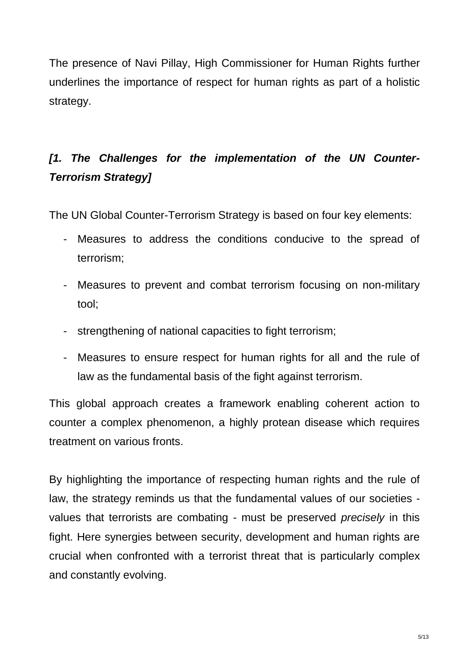The presence of Navi Pillay, High Commissioner for Human Rights further underlines the importance of respect for human rights as part of a holistic strategy.

## *[1. The Challenges for the implementation of the UN Counter-Terrorism Strategy]*

The UN Global Counter-Terrorism Strategy is based on four key elements:

- Measures to address the conditions conducive to the spread of terrorism;
- Measures to prevent and combat terrorism focusing on non-military tool;
- strengthening of national capacities to fight terrorism;
- Measures to ensure respect for human rights for all and the rule of law as the fundamental basis of the fight against terrorism.

This global approach creates a framework enabling coherent action to counter a complex phenomenon, a highly protean disease which requires treatment on various fronts.

By highlighting the importance of respecting human rights and the rule of law, the strategy reminds us that the fundamental values of our societies values that terrorists are combating - must be preserved *precisely* in this fight. Here synergies between security, development and human rights are crucial when confronted with a terrorist threat that is particularly complex and constantly evolving.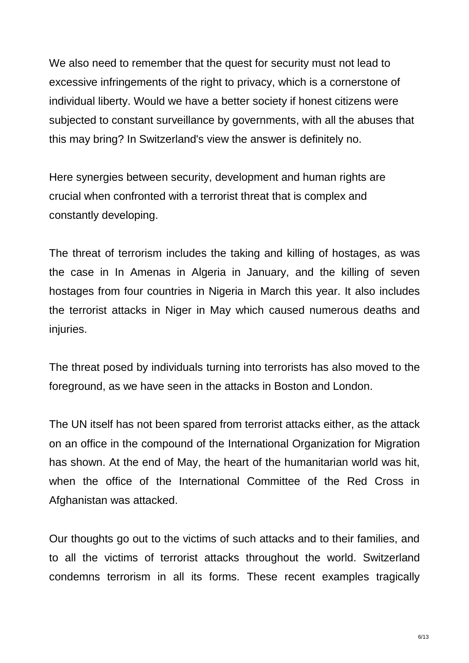We also need to remember that the quest for security must not lead to excessive infringements of the right to privacy, which is a cornerstone of individual liberty. Would we have a better society if honest citizens were subjected to constant surveillance by governments, with all the abuses that this may bring? In Switzerland's view the answer is definitely no.

Here synergies between security, development and human rights are crucial when confronted with a terrorist threat that is complex and constantly developing.

The threat of terrorism includes the taking and killing of hostages, as was the case in In Amenas in Algeria in January, and the killing of seven hostages from four countries in Nigeria in March this year. It also includes the terrorist attacks in Niger in May which caused numerous deaths and injuries.

The threat posed by individuals turning into terrorists has also moved to the foreground, as we have seen in the attacks in Boston and London.

The UN itself has not been spared from terrorist attacks either, as the attack on an office in the compound of the International Organization for Migration has shown. At the end of May, the heart of the humanitarian world was hit, when the office of the International Committee of the Red Cross in Afghanistan was attacked.

Our thoughts go out to the victims of such attacks and to their families, and to all the victims of terrorist attacks throughout the world. Switzerland condemns terrorism in all its forms. These recent examples tragically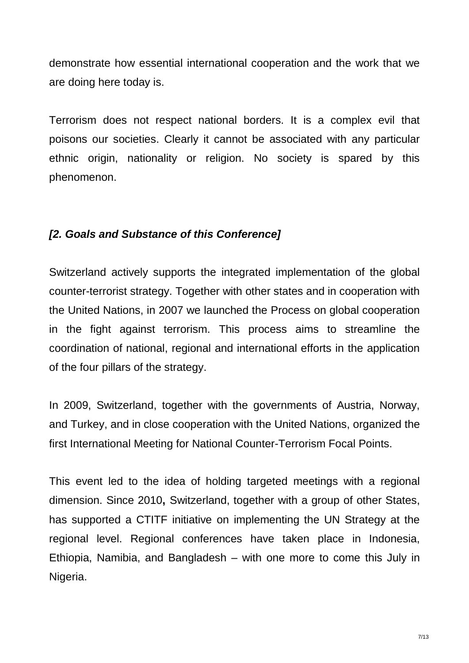demonstrate how essential international cooperation and the work that we are doing here today is.

Terrorism does not respect national borders. It is a complex evil that poisons our societies. Clearly it cannot be associated with any particular ethnic origin, nationality or religion. No society is spared by this phenomenon.

#### *[2. Goals and Substance of this Conference]*

Switzerland actively supports the integrated implementation of the global counter-terrorist strategy. Together with other states and in cooperation with the United Nations, in 2007 we launched the Process on global cooperation in the fight against terrorism. This process aims to streamline the coordination of national, regional and international efforts in the application of the four pillars of the strategy.

In 2009, Switzerland, together with the governments of Austria, Norway, and Turkey, and in close cooperation with the United Nations, organized the first International Meeting for National Counter-Terrorism Focal Points.

This event led to the idea of holding targeted meetings with a regional dimension. Since 2010**,** Switzerland, together with a group of other States, has supported a CTITF initiative on implementing the UN Strategy at the regional level. Regional conferences have taken place in Indonesia, Ethiopia, Namibia, and Bangladesh – with one more to come this July in Nigeria.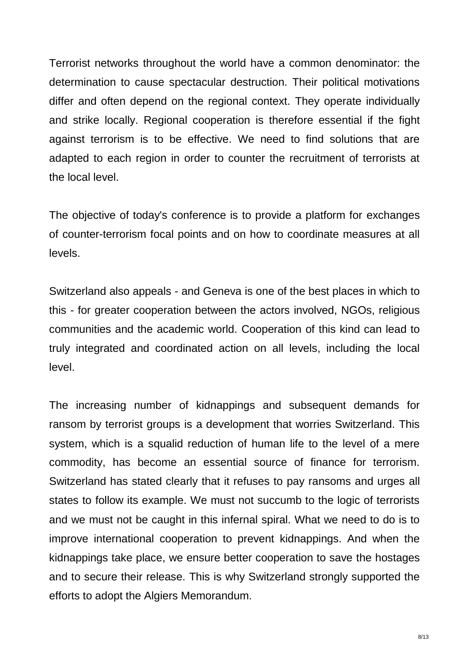Terrorist networks throughout the world have a common denominator: the determination to cause spectacular destruction. Their political motivations differ and often depend on the regional context. They operate individually and strike locally. Regional cooperation is therefore essential if the fight against terrorism is to be effective. We need to find solutions that are adapted to each region in order to counter the recruitment of terrorists at the local level.

The objective of today's conference is to provide a platform for exchanges of counter-terrorism focal points and on how to coordinate measures at all levels.

Switzerland also appeals - and Geneva is one of the best places in which to this - for greater cooperation between the actors involved, NGOs, religious communities and the academic world. Cooperation of this kind can lead to truly integrated and coordinated action on all levels, including the local level.

The increasing number of kidnappings and subsequent demands for ransom by terrorist groups is a development that worries Switzerland. This system, which is a squalid reduction of human life to the level of a mere commodity, has become an essential source of finance for terrorism. Switzerland has stated clearly that it refuses to pay ransoms and urges all states to follow its example. We must not succumb to the logic of terrorists and we must not be caught in this infernal spiral. What we need to do is to improve international cooperation to prevent kidnappings. And when the kidnappings take place, we ensure better cooperation to save the hostages and to secure their release. This is why Switzerland strongly supported the efforts to adopt the Algiers Memorandum.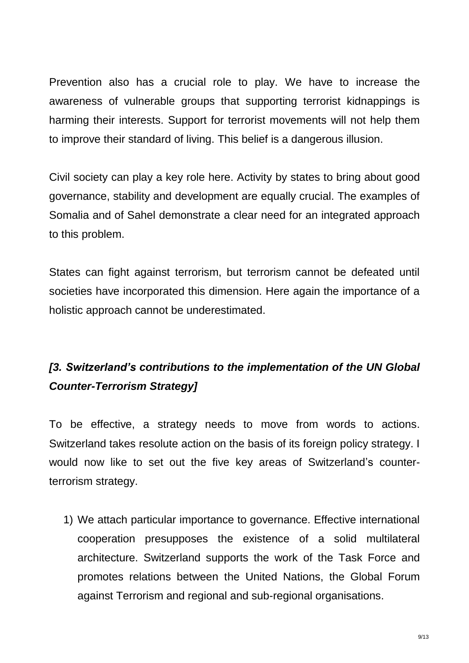Prevention also has a crucial role to play. We have to increase the awareness of vulnerable groups that supporting terrorist kidnappings is harming their interests. Support for terrorist movements will not help them to improve their standard of living. This belief is a dangerous illusion.

Civil society can play a key role here. Activity by states to bring about good governance, stability and development are equally crucial. The examples of Somalia and of Sahel demonstrate a clear need for an integrated approach to this problem.

States can fight against terrorism, but terrorism cannot be defeated until societies have incorporated this dimension. Here again the importance of a holistic approach cannot be underestimated.

## *[3. Switzerland's contributions to the implementation of the UN Global Counter-Terrorism Strategy]*

To be effective, a strategy needs to move from words to actions. Switzerland takes resolute action on the basis of its foreign policy strategy. I would now like to set out the five key areas of Switzerland's counterterrorism strategy.

1) We attach particular importance to governance. Effective international cooperation presupposes the existence of a solid multilateral architecture. Switzerland supports the work of the Task Force and promotes relations between the United Nations, the Global Forum against Terrorism and regional and sub-regional organisations.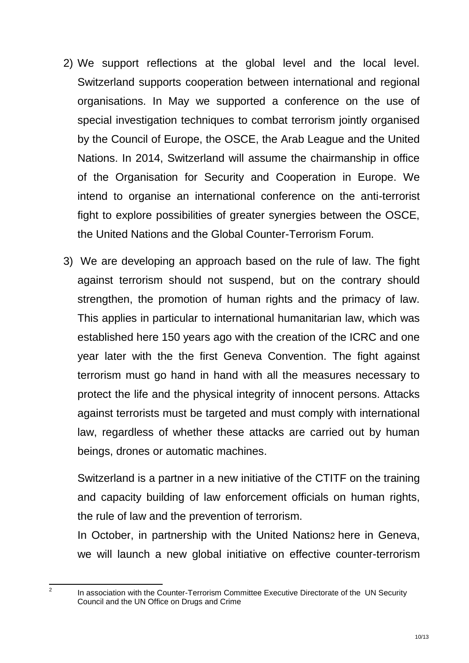- 2) We support reflections at the global level and the local level. Switzerland supports cooperation between international and regional organisations. In May we supported a conference on the use of special investigation techniques to combat terrorism jointly organised by the Council of Europe, the OSCE, the Arab League and the United Nations. In 2014, Switzerland will assume the chairmanship in office of the Organisation for Security and Cooperation in Europe. We intend to organise an international conference on the anti-terrorist fight to explore possibilities of greater synergies between the OSCE, the United Nations and the Global Counter-Terrorism Forum.
- 3) We are developing an approach based on the rule of law. The fight against terrorism should not suspend, but on the contrary should strengthen, the promotion of human rights and the primacy of law. This applies in particular to international humanitarian law, which was established here 150 years ago with the creation of the ICRC and one year later with the the first Geneva Convention. The fight against terrorism must go hand in hand with all the measures necessary to protect the life and the physical integrity of innocent persons. Attacks against terrorists must be targeted and must comply with international law, regardless of whether these attacks are carried out by human beings, drones or automatic machines.

Switzerland is a partner in a new initiative of the CTITF on the training and capacity building of law enforcement officials on human rights, the rule of law and the prevention of terrorism.

In October, in partnership with the United Nations2 here in Geneva, we will launch a new global initiative on effective counter-terrorism

 $\frac{1}{2}$ 

In association with the Counter-Terrorism Committee Executive Directorate of the UN Security Council and the UN Office on Drugs and Crime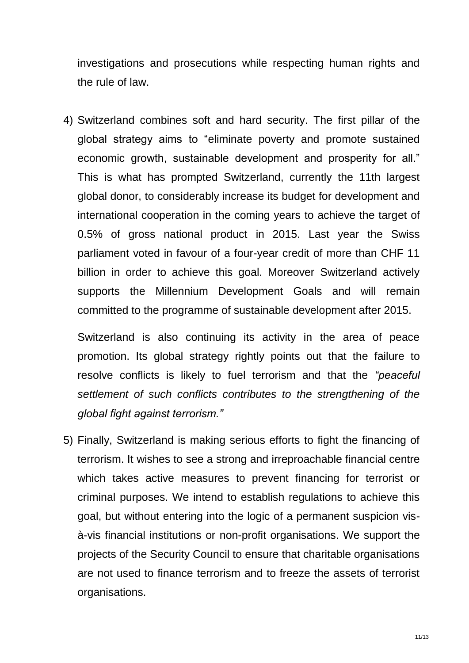investigations and prosecutions while respecting human rights and the rule of law.

4) Switzerland combines soft and hard security. The first pillar of the global strategy aims to "eliminate poverty and promote sustained economic growth, sustainable development and prosperity for all." This is what has prompted Switzerland, currently the 11th largest global donor, to considerably increase its budget for development and international cooperation in the coming years to achieve the target of 0.5% of gross national product in 2015. Last year the Swiss parliament voted in favour of a four-year credit of more than CHF 11 billion in order to achieve this goal. Moreover Switzerland actively supports the Millennium Development Goals and will remain committed to the programme of sustainable development after 2015.

Switzerland is also continuing its activity in the area of peace promotion. Its global strategy rightly points out that the failure to resolve conflicts is likely to fuel terrorism and that the *"peaceful settlement of such conflicts contributes to the strengthening of the global fight against terrorism."*

5) Finally, Switzerland is making serious efforts to fight the financing of terrorism. It wishes to see a strong and irreproachable financial centre which takes active measures to prevent financing for terrorist or criminal purposes. We intend to establish regulations to achieve this goal, but without entering into the logic of a permanent suspicion visà-vis financial institutions or non-profit organisations. We support the projects of the Security Council to ensure that charitable organisations are not used to finance terrorism and to freeze the assets of terrorist organisations.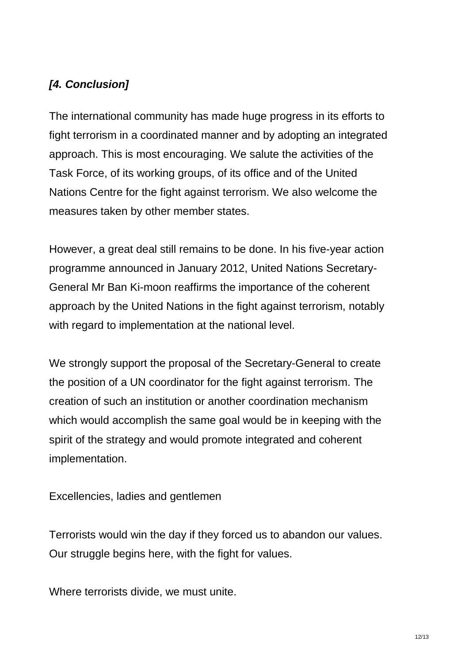### *[4. Conclusion]*

The international community has made huge progress in its efforts to fight terrorism in a coordinated manner and by adopting an integrated approach. This is most encouraging. We salute the activities of the Task Force, of its working groups, of its office and of the United Nations Centre for the fight against terrorism. We also welcome the measures taken by other member states.

However, a great deal still remains to be done. In his five-year action programme announced in January 2012, United Nations Secretary-General Mr Ban Ki-moon reaffirms the importance of the coherent approach by the United Nations in the fight against terrorism, notably with regard to implementation at the national level.

We strongly support the proposal of the Secretary-General to create the position of a UN coordinator for the fight against terrorism. The creation of such an institution or another coordination mechanism which would accomplish the same goal would be in keeping with the spirit of the strategy and would promote integrated and coherent implementation.

Excellencies, ladies and gentlemen

Terrorists would win the day if they forced us to abandon our values. Our struggle begins here, with the fight for values.

Where terrorists divide, we must unite.